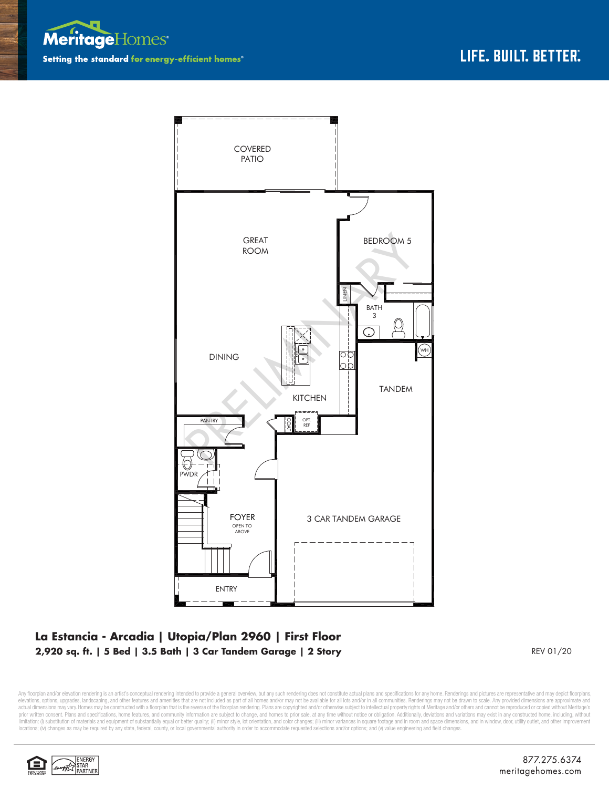



## **La Estancia - Arcadia | Utopia/Plan 2960 | First Floor 2,920 sq. ft. | 5 Bed | 3.5 Bath | 3 Car Tandem Garage | 2 Story**

REV 01/20

Any floorplan and/or elevation rendering is an artist's conceptual rendering intended to provide a general overview, but any such rendering does not constitute actual plans and specifications for any home. Renderings and p elevations, options, upgrades, landscaping, and other features and amenities that are not included as part of all homes and/or may not be available for all lots and/or in all communities. Renderings may not be drawn to sca limitation: (i) substitution of materials and equipment of substantially equal or better quality; (ii) minor style, lot orientation, and color changes; (iii) minor variances in square footage and in room and space dimensio locations; (iv) changes as may be required by any state, federal, county, or local governmental authority in order to accommodate requested selections and/or options; and (v) value engineering and field changes.